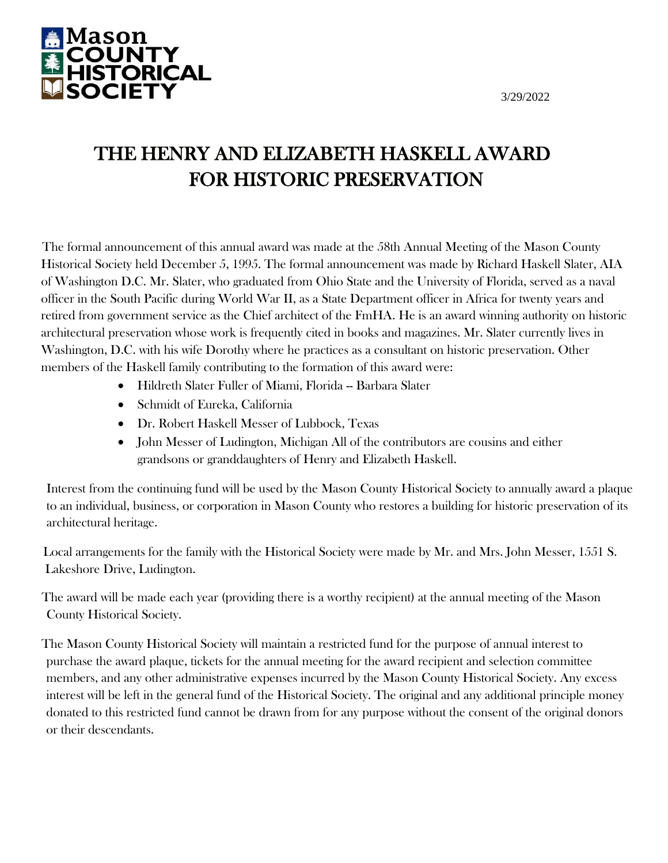

# THE HENRY AND ELIZABETH HASKELL AWARD FOR HISTORIC PRESERVATION

The formal announcement of this annual award was made at the 58th Annual Meeting of the Mason County Historical Society held December 5, 1995. The formal announcement was made by Richard Haskell Slater, AIA of Washington D.C. Mr. Slater, who graduated from Ohio State and the University of Florida, served as a naval officer in the South Pacific during World War II, as a State Department officer in Africa for twenty years and retired from government service as the Chief architect of the FmHA. He is an award winning authority on historic architectural preservation whose work is frequently cited in books and magazines. Mr. Slater currently lives in Washington, D.C. with his wife Dorothy where he practices as a consultant on historic preservation. Other members of the Haskell family contributing to the formation of this award were:

- Hildreth Slater Fuller of Miami, Florida -- Barbara Slater
- Schmidt of Eureka, California
- Dr. Robert Haskell Messer of Lubbock, Texas
- John Messer of Ludington, Michigan All of the contributors are cousins and either grandsons or granddaughters of Henry and Elizabeth Haskell.

Interest from the continuing fund will be used by the Mason County Historical Society to annually award a plaque to an individual, business, or corporation in Mason County who restores a building for historic preservation of its architectural heritage.

Local arrangements for the family with the Historical Society were made by Mr. and Mrs. John Messer, 1551 S. Lakeshore Drive, Ludington.

The award will be made each year (providing there is a worthy recipient) at the annual meeting of the Mason County Historical Society.

The Mason County Historical Society will maintain a restricted fund for the purpose of annual interest to purchase the award plaque, tickets for the annual meeting for the award recipient and selection committee members, and any other administrative expenses incurred by the Mason County Historical Society. Any excess interest will be left in the general fund of the Historical Society. The original and any additional principle money donated to this restricted fund cannot be drawn from for any purpose without the consent of the original donors or their descendants.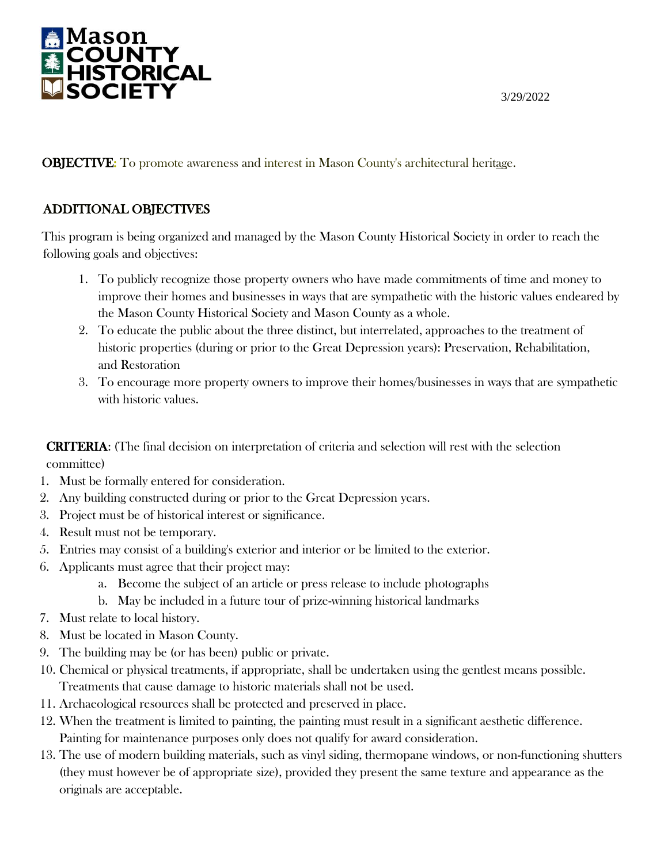

OBJECTIVE: To promote awareness and interest in Mason County's architectural heritage.

#### ADDITIONAL OBJECTIVES

This program is being organized and managed by the Mason County Historical Society in order to reach the following goals and objectives:

- 1. To publicly recognize those property owners who have made commitments of time and money to improve their homes and businesses in ways that are sympathetic with the historic values endeared by the Mason County Historical Society and Mason County as a whole.
- 2. To educate the public about the three distinct, but interrelated, approaches to the treatment of historic properties (during or prior to the Great Depression years): Preservation, Rehabilitation, and Restoration
- 3. To encourage more property owners to improve their homes/businesses in ways that are sympathetic with historic values.

CRITERIA: (The final decision on interpretation of criteria and selection will rest with the selection committee)

- 1. Must be formally entered for consideration.
- 2. Any building constructed during or prior to the Great Depression years.
- 3. Project must be of historical interest or significance.
- 4. Result must not be temporary.
- 5. Entries may consist of a building's exterior and interior or be limited to the exterior.
- 6. Applicants must agree that their project may:
	- a. Become the subject of an article or press release to include photographs
	- b. May be included in a future tour of prize-winning historical landmarks
- 7. Must relate to local history.
- 8. Must be located in Mason County.
- 9. The building may be (or has been) public or private.
- 10. Chemical or physical treatments, if appropriate, shall be undertaken using the gentlest means possible. Treatments that cause damage to historic materials shall not be used.
- 11. Archaeological resources shall be protected and preserved in place.
- 12. When the treatment is limited to painting, the painting must result in a significant aesthetic difference. Painting for maintenance purposes only does not qualify for award consideration.
- 13. The use of modern building materials, such as vinyl siding, thermopane windows, or non-functioning shutters (they must however be of appropriate size), provided they present the same texture and appearance as the originals are acceptable.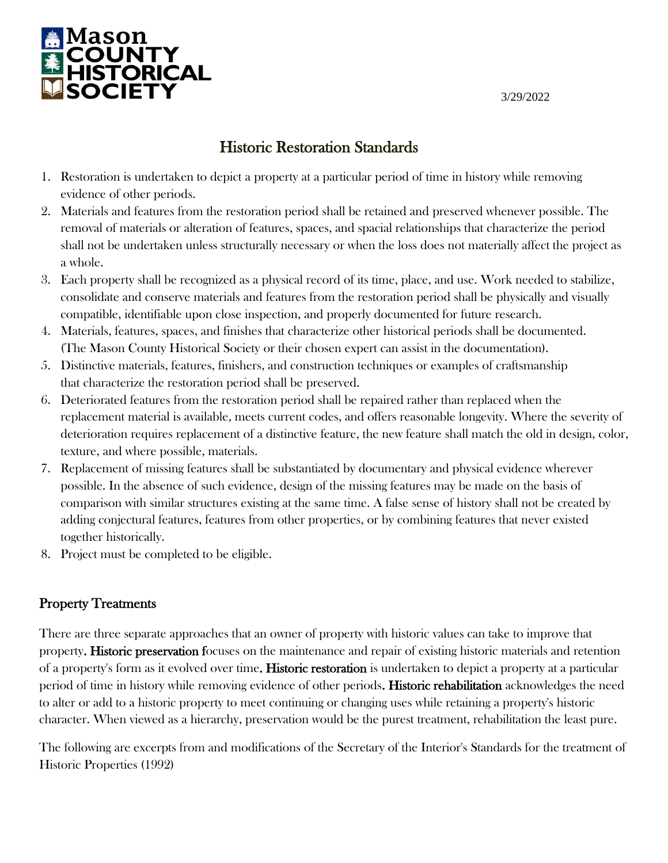

# Historic Restoration Standards

- 1. Restoration is undertaken to depict a property at a particular period of time in history while removing evidence of other periods.
- 2. Materials and features from the restoration period shall be retained and preserved whenever possible. The removal of materials or alteration of features, spaces, and spacial relationships that characterize the period shall not be undertaken unless structurally necessary or when the loss does not materially affect the project as a whole.
- 3. Each property shall be recognized as a physical record of its time, place, and use. Work needed to stabilize, consolidate and conserve materials and features from the restoration period shall be physically and visually compatible, identifiable upon close inspection, and properly documented for future research.
- 4. Materials, features, spaces, and finishes that characterize other historical periods shall be documented. (The Mason County Historical Society or their chosen expert can assist in the documentation).
- 5. Distinctive materials, features, finishers, and construction techniques or examples of craftsmanship that characterize the restoration period shall be preserved.
- 6. Deteriorated features from the restoration period shall be repaired rather than replaced when the replacement material is available, meets current codes, and offers reasonable longevity. Where the severity of deterioration requires replacement of a distinctive feature, the new feature shall match the old in design, color, texture, and where possible, materials.
- 7. Replacement of missing features shall be substantiated by documentary and physical evidence wherever possible. In the absence of such evidence, design of the missing features may be made on the basis of comparison with similar structures existing at the same time. A false sense of history shall not be created by adding conjectural features, features from other properties, or by combining features that never existed together historically.
- 8. Project must be completed to be eligible.

### Property Treatments

There are three separate approaches that an owner of property with historic values can take to improve that property. Historic preservation focuses on the maintenance and repair of existing historic materials and retention of a property's form as it evolved over time. Historic restoration is undertaken to depict a property at a particular period of time in history while removing evidence of other periods. Historic rehabilitation acknowledges the need to alter or add to a historic property to meet continuing or changing uses while retaining a property's historic character. When viewed as a hierarchy, preservation would be the purest treatment, rehabilitation the least pure.

The following are excerpts from and modifications of the Secretary of the Interior's Standards for the treatment of Historic Properties (1992)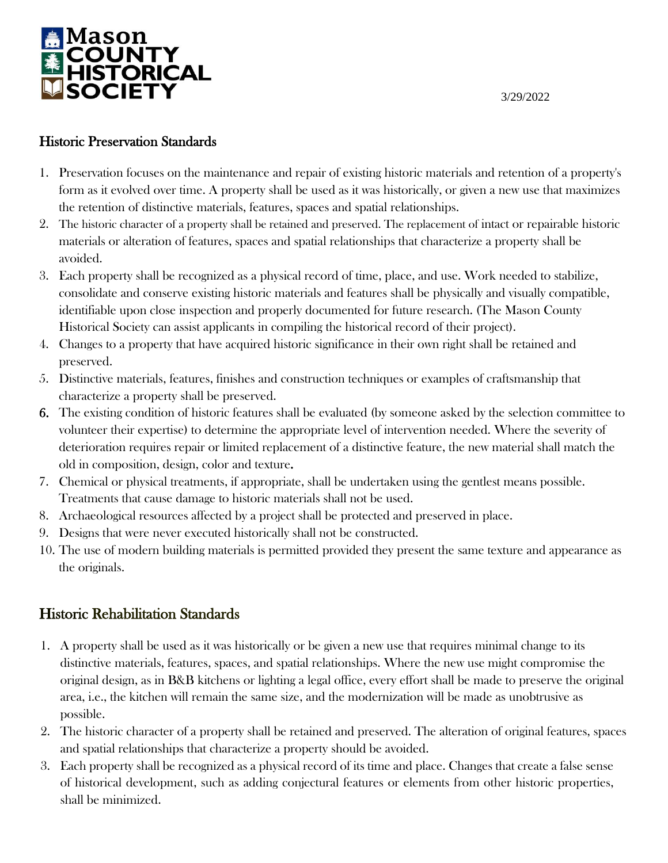

#### Historic Preservation Standards

- 1. Preservation focuses on the maintenance and repair of existing historic materials and retention of a property's form as it evolved over time. A property shall be used as it was historically, or given a new use that maximizes the retention of distinctive materials, features, spaces and spatial relationships.
- 2. The historic character of a property shall be retained and preserved. The replacement of intact or repairable historic materials or alteration of features, spaces and spatial relationships that characterize a property shall be avoided.
- 3. Each property shall be recognized as a physical record of time, place, and use. Work needed to stabilize, consolidate and conserve existing historic materials and features shall be physically and visually compatible, identifiable upon close inspection and properly documented for future research. (The Mason County Historical Society can assist applicants in compiling the historical record of their project).
- 4. Changes to a property that have acquired historic significance in their own right shall be retained and preserved.
- 5. Distinctive materials, features, finishes and construction techniques or examples of craftsmanship that characterize a property shall be preserved.
- 6. The existing condition of historic features shall be evaluated (by someone asked by the selection committee to volunteer their expertise) to determine the appropriate level of intervention needed. Where the severity of deterioration requires repair or limited replacement of a distinctive feature, the new material shall match the old in composition, design, color and texture.
- 7. Chemical or physical treatments, if appropriate, shall be undertaken using the gentlest means possible. Treatments that cause damage to historic materials shall not be used.
- 8. Archaeological resources affected by a project shall be protected and preserved in place.
- 9. Designs that were never executed historically shall not be constructed.
- 10. The use of modern building materials is permitted provided they present the same texture and appearance as the originals.

# Historic Rehabilitation Standards

- 1. A property shall be used as it was historically or be given a new use that requires minimal change to its distinctive materials, features, spaces, and spatial relationships. Where the new use might compromise the original design, as in B&B kitchens or lighting a legal office, every effort shall be made to preserve the original area, i.e., the kitchen will remain the same size, and the modernization will be made as unobtrusive as possible.
- 2. The historic character of a property shall be retained and preserved. The alteration of original features, spaces and spatial relationships that characterize a property should be avoided.
- 3. Each property shall be recognized as a physical record of its time and place. Changes that create a false sense of historical development, such as adding conjectural features or elements from other historic properties, shall be minimized.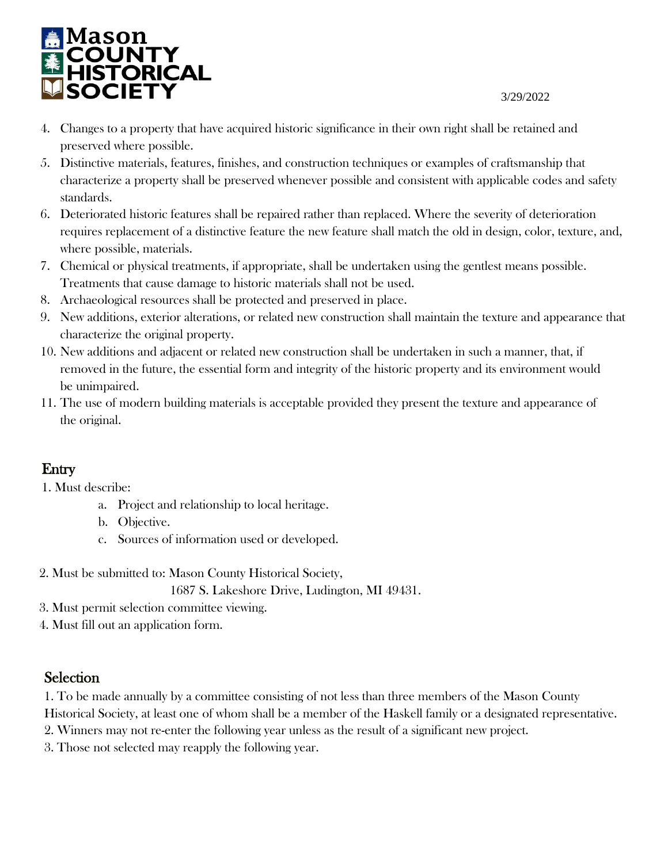

- 4. Changes to a property that have acquired historic significance in their own right shall be retained and preserved where possible.
- 5. Distinctive materials, features, finishes, and construction techniques or examples of craftsmanship that characterize a property shall be preserved whenever possible and consistent with applicable codes and safety standards.
- 6. Deteriorated historic features shall be repaired rather than replaced. Where the severity of deterioration requires replacement of a distinctive feature the new feature shall match the old in design, color, texture, and, where possible, materials.
- 7. Chemical or physical treatments, if appropriate, shall be undertaken using the gentlest means possible. Treatments that cause damage to historic materials shall not be used.
- 8. Archaeological resources shall be protected and preserved in place.
- 9. New additions, exterior alterations, or related new construction shall maintain the texture and appearance that characterize the original property.
- 10. New additions and adjacent or related new construction shall be undertaken in such a manner, that, if removed in the future, the essential form and integrity of the historic property and its environment would be unimpaired.
- 11. The use of modern building materials is acceptable provided they present the texture and appearance of the original.

# Entry

1. Must describe:

- a. Project and relationship to local heritage.
- b. Objective.
- c. Sources of information used or developed.
- 2. Must be submitted to: Mason County Historical Society,

1687 S. Lakeshore Drive, Ludington, MI 49431.

- 3. Must permit selection committee viewing.
- 4. Must fill out an application form.

## Selection

1. To be made annually by a committee consisting of not less than three members of the Mason County

Historical Society, at least one of whom shall be a member of the Haskell family or a designated representative.

- 2. Winners may not re-enter the following year unless as the result of a significant new project.
- 3. Those not selected may reapply the following year.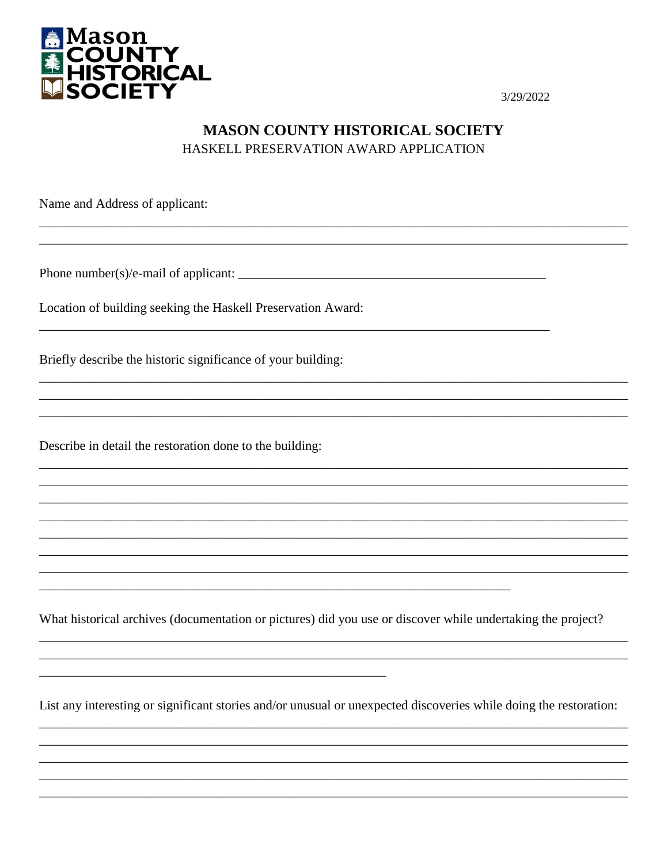

## **MASON COUNTY HISTORICAL SOCIETY** HASKELL PRESERVATION AWARD APPLICATION

Name and Address of applicant:

Location of building seeking the Haskell Preservation Award:

Briefly describe the historic significance of your building:

Describe in detail the restoration done to the building:

What historical archives (documentation or pictures) did you use or discover while undertaking the project?

List any interesting or significant stories and/or unusual or unexpected discoveries while doing the restoration: